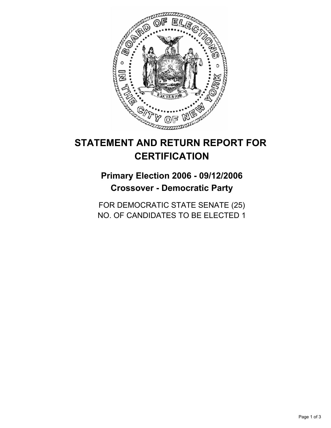

# **STATEMENT AND RETURN REPORT FOR CERTIFICATION**

## **Primary Election 2006 - 09/12/2006 Crossover - Democratic Party**

FOR DEMOCRATIC STATE SENATE (25) NO. OF CANDIDATES TO BE ELECTED 1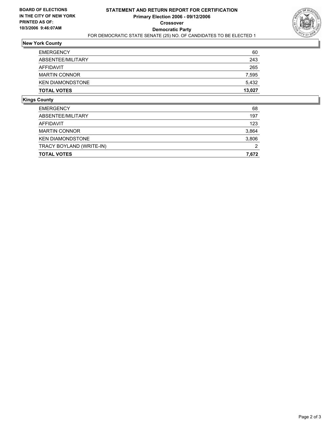

### **New York County**

| <b>TOTAL VOTES</b>      | 13,027 |
|-------------------------|--------|
| <b>KEN DIAMONDSTONE</b> | 5,432  |
| <b>MARTIN CONNOR</b>    | 7,595  |
| AFFIDAVIT               | 265    |
| ABSENTEE/MILITARY       | 243    |
| <b>EMERGENCY</b>        | 60     |

## **Kings County**

| <b>TOTAL VOTES</b>       | 7,672 |
|--------------------------|-------|
| TRACY BOYLAND (WRITE-IN) | 2     |
| <b>KEN DIAMONDSTONE</b>  | 3,806 |
| <b>MARTIN CONNOR</b>     | 3,864 |
| AFFIDAVIT                | 123   |
| ABSENTEE/MILITARY        | 197   |
| <b>EMERGENCY</b>         | 68    |